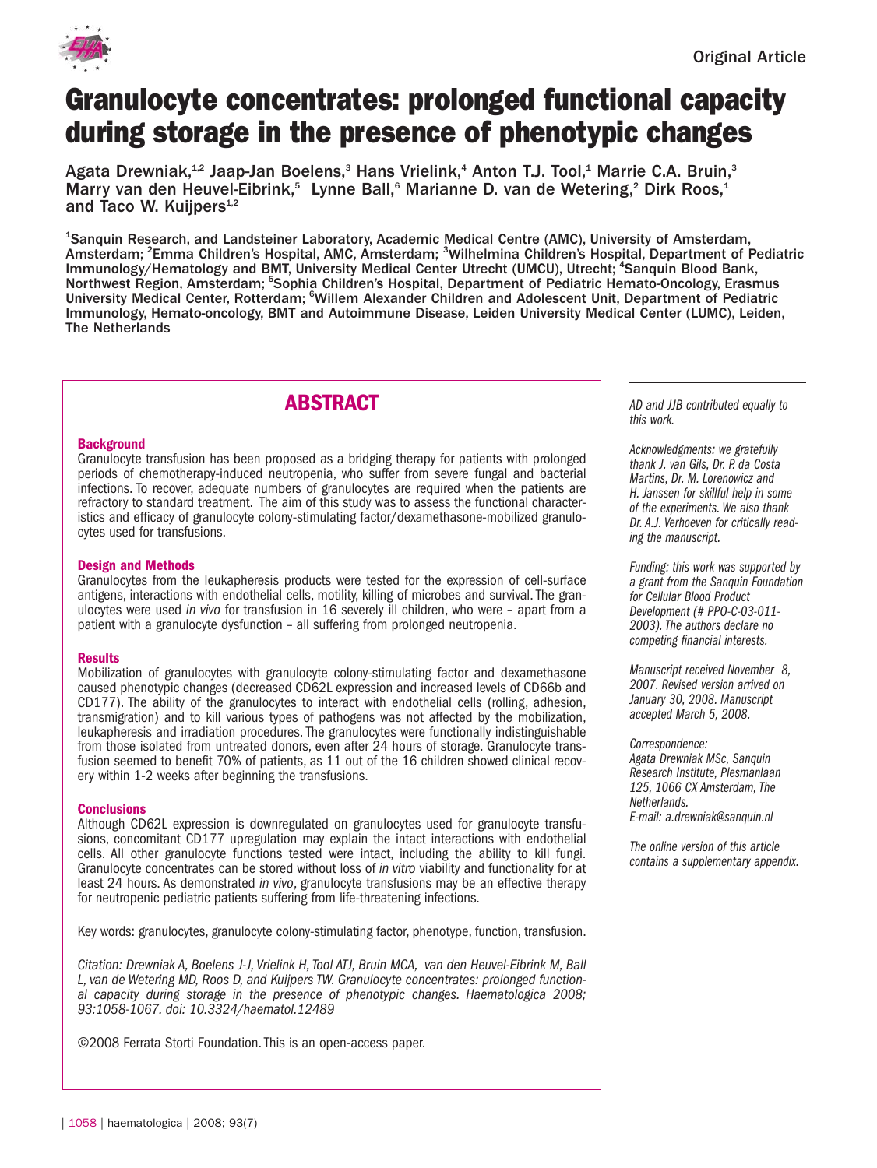

# **Granulocyte concentrates: prolonged functional capacity during storage in the presence of phenotypic changes**

Agata Drewniak,<sup>1,2</sup> Jaap-Jan Boelens,<sup>3</sup> Hans Vrielink,<sup>4</sup> Anton T.J. Tool,<sup>1</sup> Marrie C.A. Bruin,<sup>3</sup> Marry van den Heuvel-Eibrink,<sup>5</sup> Lynne Ball,<sup>6</sup> Marianne D. van de Wetering,<sup>2</sup> Dirk Roos,<sup>1</sup> and Taco W. Kuijpers $4,2$ 

<sup>1</sup>Sanquin Research, and Landsteiner Laboratory, Academic Medical Centre (AMC), University of Amsterdam, Amsterdam; <sup>2</sup>Emma Children's Hospital, AMC, Amsterdam; <sup>3</sup>Wilhelmina Children's Hospital, Department of Pediatric Immunology/Hematology and BMT, University Medical Center Utrecht (UMCU), Utrecht; <sup>4</sup>Sanquin Blood Bank, Northwest Region, Amsterdam; <sup>5</sup>Sophia Children's Hospital, Department of Pediatric Hemato-Oncology, Erasmus University Medical Center, Rotterdam; <sup>6</sup>Willem Alexander Children and Adolescent Unit, Department of Pediatric Immunology, Hemato-oncology, BMT and Autoimmune Disease, Leiden University Medical Center (LUMC), Leiden, The Netherlands

# **ABSTRACT**

# **Background**

Granulocyte transfusion has been proposed as a bridging therapy for patients with prolonged periods of chemotherapy-induced neutropenia, who suffer from severe fungal and bacterial infections. To recover, adequate numbers of granulocytes are required when the patients are refractory to standard treatment. The aim of this study was to assess the functional characteristics and efficacy of granulocyte colony-stimulating factor/dexamethasone-mobilized granulocytes used for transfusions.

# **Design and Methods**

Granulocytes from the leukapheresis products were tested for the expression of cell-surface antigens, interactions with endothelial cells, motility, killing of microbes and survival. The granulocytes were used *in vivo* for transfusion in 16 severely ill children, who were – apart from a patient with a granulocyte dysfunction – all suffering from prolonged neutropenia.

# **Results**

Mobilization of granulocytes with granulocyte colony-stimulating factor and dexamethasone caused phenotypic changes (decreased CD62L expression and increased levels of CD66b and CD177). The ability of the granulocytes to interact with endothelial cells (rolling, adhesion, transmigration) and to kill various types of pathogens was not affected by the mobilization, leukapheresis and irradiation procedures. The granulocytes were functionally indistinguishable from those isolated from untreated donors, even after 24 hours of storage. Granulocyte transfusion seemed to benefit 70% of patients, as 11 out of the 16 children showed clinical recovery within 1-2 weeks after beginning the transfusions.

#### **Conclusions**

Although CD62L expression is downregulated on granulocytes used for granulocyte transfusions, concomitant CD177 upregulation may explain the intact interactions with endothelial cells. All other granulocyte functions tested were intact, including the ability to kill fungi. Granulocyte concentrates can be stored without loss of *in vitro* viability and functionality for at least 24 hours. As demonstrated *in vivo*, granulocyte transfusions may be an effective therapy for neutropenic pediatric patients suffering from life-threatening infections.

Key words: granulocytes, granulocyte colony-stimulating factor, phenotype, function, transfusion.

*Citation: Drewniak A, Boelens J-J, Vrielink H, Tool ATJ, Bruin MCA, van den Heuvel-Eibrink M, Ball L, van de Wetering MD, Roos D, and Kuijpers TW. Granulocyte concentrates: prolonged functional capacity during storage in the presence of phenotypic changes. Haematologica 2008; 93:1058-1067. doi: 10.3324/haematol.12489*

©2008 Ferrata Storti Foundation.This is an open-access paper.

*AD and JJB contributed equally to this work.*

*Acknowledgments: we gratefully thank J. van Gils, Dr. P. da Costa Martins, Dr. M. Lorenowicz and H. Janssen for skillful help in some of the experiments. We also thank Dr. A.J. Verhoeven for critically reading the manuscript.*

*Funding: this work was supported by a grant from the Sanquin Foundation for Cellular Blood Product Development (# PPO-C-03-011- 2003). The authors declare no competing financial interests.*

*Manuscript received November 8, 2007. Revised version arrived on January 30, 2008. Manuscript accepted March 5, 2008.*

*Correspondence: Agata Drewniak MSc, Sanquin Research Institute, Plesmanlaan 125, 1066 CX Amsterdam, The Netherlands. E-mail: a.drewniak@sanquin.nl*

*The online version of this article contains a supplementary appendix.*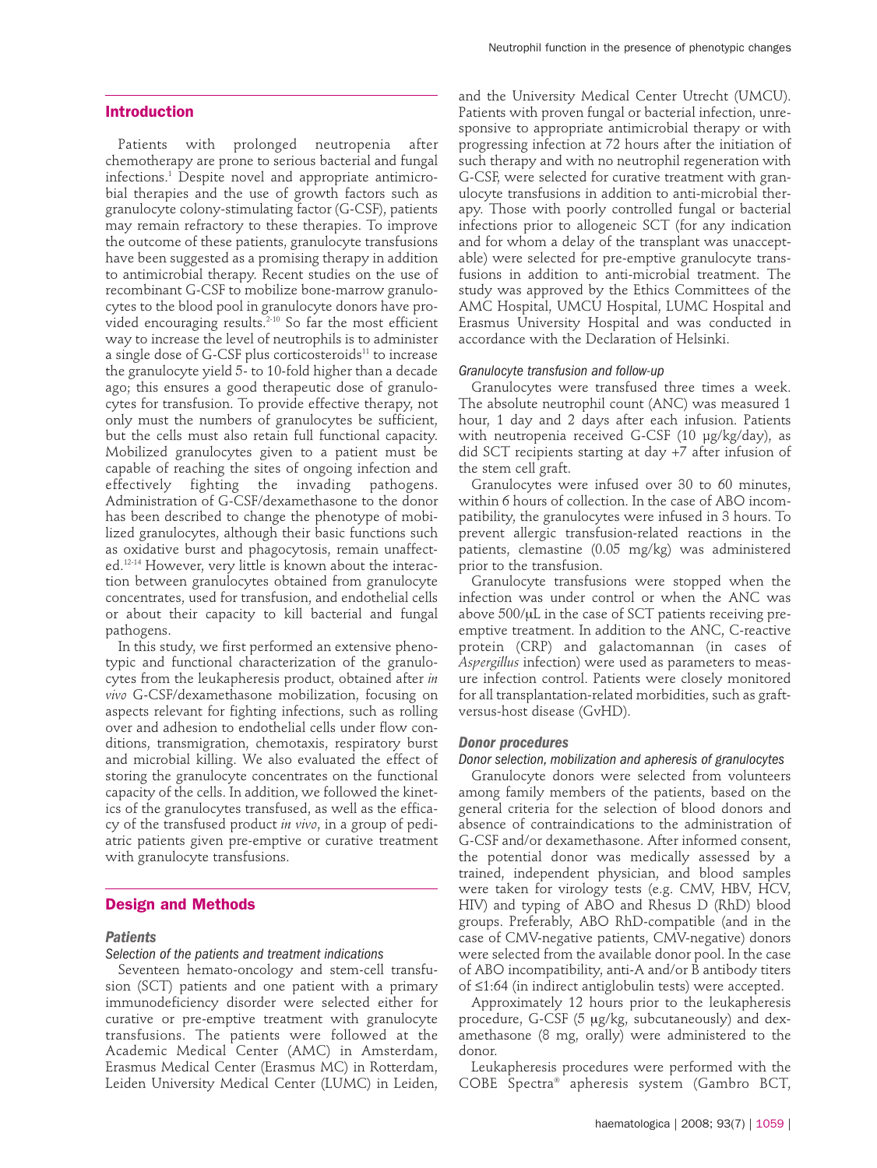# **Introduction**

Patients with prolonged neutropenia after chemotherapy are prone to serious bacterial and fungal infections.1 Despite novel and appropriate antimicrobial therapies and the use of growth factors such as granulocyte colony-stimulating factor (G-CSF), patients may remain refractory to these therapies. To improve the outcome of these patients, granulocyte transfusions have been suggested as a promising therapy in addition to antimicrobial therapy. Recent studies on the use of recombinant G-CSF to mobilize bone-marrow granulocytes to the blood pool in granulocyte donors have provided encouraging results.<sup>2-10</sup> So far the most efficient way to increase the level of neutrophils is to administer a single dose of G-CSF plus corticosteroids<sup>11</sup> to increase the granulocyte yield 5- to 10-fold higher than a decade ago; this ensures a good therapeutic dose of granulocytes for transfusion. To provide effective therapy, not only must the numbers of granulocytes be sufficient, but the cells must also retain full functional capacity. Mobilized granulocytes given to a patient must be capable of reaching the sites of ongoing infection and effectively fighting the invading pathogens. Administration of G-CSF/dexamethasone to the donor has been described to change the phenotype of mobilized granulocytes, although their basic functions such as oxidative burst and phagocytosis, remain unaffected.12-14 However, very little is known about the interaction between granulocytes obtained from granulocyte concentrates, used for transfusion, and endothelial cells or about their capacity to kill bacterial and fungal pathogens.

In this study, we first performed an extensive phenotypic and functional characterization of the granulocytes from the leukapheresis product, obtained after *in vivo* G-CSF/dexamethasone mobilization, focusing on aspects relevant for fighting infections, such as rolling over and adhesion to endothelial cells under flow conditions, transmigration, chemotaxis, respiratory burst and microbial killing. We also evaluated the effect of storing the granulocyte concentrates on the functional capacity of the cells. In addition, we followed the kinetics of the granulocytes transfused, as well as the efficacy of the transfused product *in vivo*, in a group of pediatric patients given pre-emptive or curative treatment with granulocyte transfusions.

#### **Design and Methods**

#### *Patients*

#### *Selection of the patients and treatment indications*

Seventeen hemato-oncology and stem-cell transfusion (SCT) patients and one patient with a primary immunodeficiency disorder were selected either for curative or pre-emptive treatment with granulocyte transfusions. The patients were followed at the Academic Medical Center (AMC) in Amsterdam, Erasmus Medical Center (Erasmus MC) in Rotterdam, Leiden University Medical Center (LUMC) in Leiden,

and the University Medical Center Utrecht (UMCU). Patients with proven fungal or bacterial infection, unresponsive to appropriate antimicrobial therapy or with progressing infection at 72 hours after the initiation of such therapy and with no neutrophil regeneration with G-CSF, were selected for curative treatment with granulocyte transfusions in addition to anti-microbial therapy. Those with poorly controlled fungal or bacterial infections prior to allogeneic SCT (for any indication and for whom a delay of the transplant was unacceptable) were selected for pre-emptive granulocyte transfusions in addition to anti-microbial treatment. The study was approved by the Ethics Committees of the AMC Hospital, UMCU Hospital, LUMC Hospital and Erasmus University Hospital and was conducted in accordance with the Declaration of Helsinki.

#### *Granulocyte transfusion and follow-up*

Granulocytes were transfused three times a week. The absolute neutrophil count (ANC) was measured 1 hour, 1 day and 2 days after each infusion. Patients with neutropenia received G-CSF (10 µg/kg/day), as did SCT recipients starting at day +7 after infusion of the stem cell graft.

Granulocytes were infused over 30 to 60 minutes, within 6 hours of collection. In the case of ABO incompatibility, the granulocytes were infused in 3 hours. To prevent allergic transfusion-related reactions in the patients, clemastine (0.05 mg/kg) was administered prior to the transfusion.

Granulocyte transfusions were stopped when the infection was under control or when the ANC was above 500/µL in the case of SCT patients receiving preemptive treatment. In addition to the ANC, C-reactive protein (CRP) and galactomannan (in cases of *Aspergillus* infection) were used as parameters to measure infection control. Patients were closely monitored for all transplantation-related morbidities, such as graftversus-host disease (GvHD).

#### *Donor procedures*

#### *Donor selection, mobilization and apheresis of granulocytes*

Granulocyte donors were selected from volunteers among family members of the patients, based on the general criteria for the selection of blood donors and absence of contraindications to the administration of G-CSF and/or dexamethasone. After informed consent, the potential donor was medically assessed by a trained, independent physician, and blood samples were taken for virology tests (e.g. CMV, HBV, HCV, HIV) and typing of ABO and Rhesus D (RhD) blood groups. Preferably, ABO RhD-compatible (and in the case of CMV-negative patients, CMV-negative) donors were selected from the available donor pool. In the case of ABO incompatibility, anti-A and/or B antibody titers of ≤1:64 (in indirect antiglobulin tests) were accepted.

Approximately 12 hours prior to the leukapheresis procedure, G-CSF (5 µg/kg, subcutaneously) and dexamethasone (8 mg, orally) were administered to the donor.

Leukapheresis procedures were performed with the COBE Spectra® apheresis system (Gambro BCT,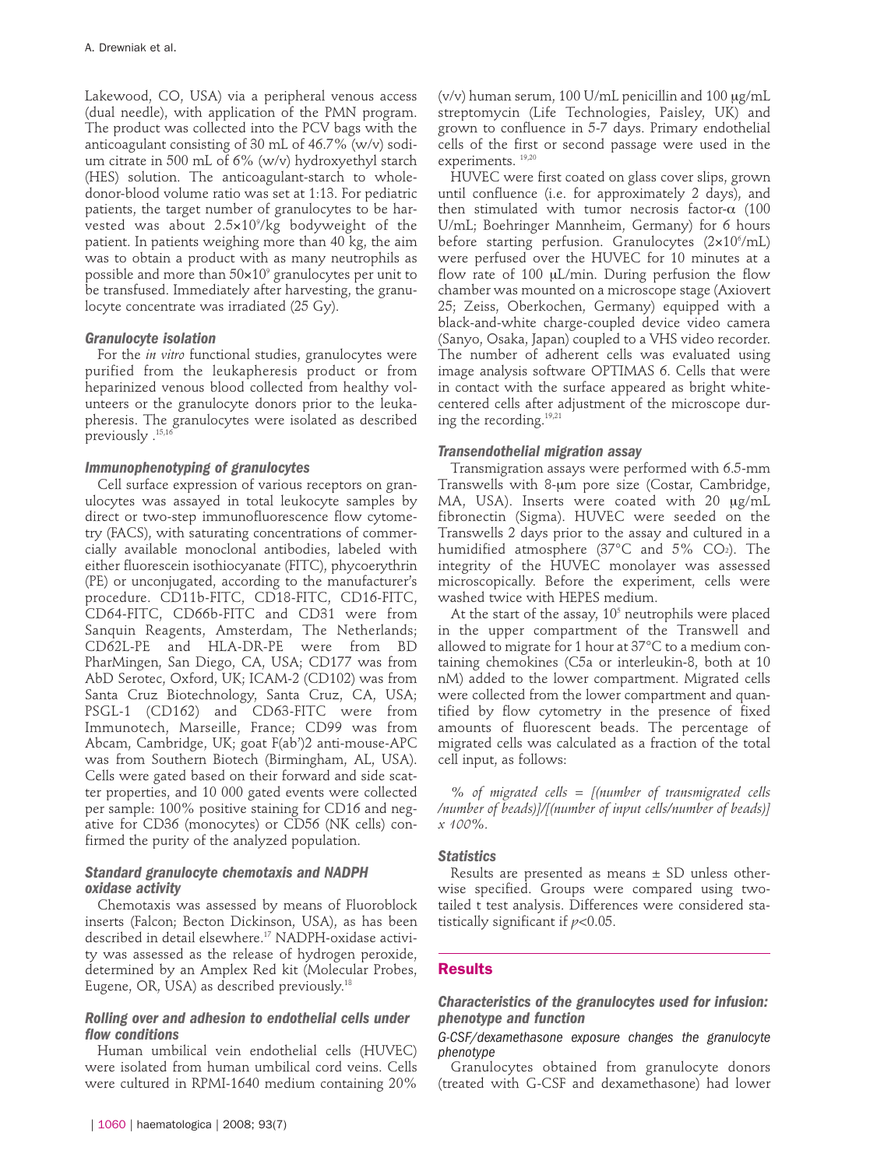Lakewood, CO, USA) via a peripheral venous access (dual needle), with application of the PMN program. The product was collected into the PCV bags with the anticoagulant consisting of 30 mL of 46.7% (w/v) sodium citrate in 500 mL of 6% (w/v) hydroxyethyl starch (HES) solution. The anticoagulant-starch to wholedonor-blood volume ratio was set at 1:13. For pediatric patients, the target number of granulocytes to be harvested was about 2.5×109 /kg bodyweight of the patient. In patients weighing more than 40 kg, the aim was to obtain a product with as many neutrophils as possible and more than  $50\times10^9$  granulocytes per unit to be transfused. Immediately after harvesting, the granulocyte concentrate was irradiated (25 Gy).

# *Granulocyte isolation*

For the *in vitro* functional studies, granulocytes were purified from the leukapheresis product or from heparinized venous blood collected from healthy volunteers or the granulocyte donors prior to the leukapheresis. The granulocytes were isolated as described previously .<sup>15,1</sup>

# *Immunophenotyping of granulocytes*

Cell surface expression of various receptors on granulocytes was assayed in total leukocyte samples by direct or two-step immunofluorescence flow cytometry (FACS), with saturating concentrations of commercially available monoclonal antibodies, labeled with either fluorescein isothiocyanate (FITC), phycoerythrin (PE) or unconjugated, according to the manufacturer's procedure. CD11b-FITC, CD18-FITC, CD16-FITC, CD64-FITC, CD66b-FITC and CD31 were from Sanquin Reagents, Amsterdam, The Netherlands; CD62L-PE and HLA-DR-PE were from BD PharMingen, San Diego, CA, USA; CD177 was from AbD Serotec, Oxford, UK; ICAM-2 (CD102) was from Santa Cruz Biotechnology, Santa Cruz, CA, USA; PSGL-1 (CD162) and CD63-FITC were from Immunotech, Marseille, France; CD99 was from Abcam, Cambridge, UK; goat F(ab')2 anti-mouse-APC was from Southern Biotech (Birmingham, AL, USA). Cells were gated based on their forward and side scatter properties, and 10 000 gated events were collected per sample: 100% positive staining for CD16 and negative for CD36 (monocytes) or CD56 (NK cells) confirmed the purity of the analyzed population.

# *Standard granulocyte chemotaxis and NADPH oxidase activity*

Chemotaxis was assessed by means of Fluoroblock inserts (Falcon; Becton Dickinson, USA), as has been described in detail elsewhere.17 NADPH-oxidase activity was assessed as the release of hydrogen peroxide, determined by an Amplex Red kit (Molecular Probes, Eugene, OR, USA) as described previously.<sup>18</sup>

# *Rolling over and adhesion to endothelial cells under flow conditions*

Human umbilical vein endothelial cells (HUVEC) were isolated from human umbilical cord veins. Cells were cultured in RPMI-1640 medium containing 20% ( $v/v$ ) human serum, 100 U/mL penicillin and 100  $\mu$ g/mL streptomycin (Life Technologies, Paisley, UK) and grown to confluence in 5-7 days. Primary endothelial cells of the first or second passage were used in the experiments. 19,20

HUVEC were first coated on glass cover slips, grown until confluence (i.e. for approximately 2 days), and then stimulated with tumor necrosis factor- $\alpha$  (100 U/mL; Boehringer Mannheim, Germany) for 6 hours before starting perfusion. Granulocytes (2×10<sup>6</sup>/mL) were perfused over the HUVEC for 10 minutes at a flow rate of 100 µL/min. During perfusion the flow chamber was mounted on a microscope stage (Axiovert 25; Zeiss, Oberkochen, Germany) equipped with a black-and-white charge-coupled device video camera (Sanyo, Osaka, Japan) coupled to a VHS video recorder. The number of adherent cells was evaluated using image analysis software OPTIMAS 6. Cells that were in contact with the surface appeared as bright whitecentered cells after adjustment of the microscope during the recording.19,21

# *Transendothelial migration assay*

Transmigration assays were performed with 6.5-mm Transwells with 8-µm pore size (Costar, Cambridge, MA, USA). Inserts were coated with 20  $\mu$ g/mL fibronectin (Sigma). HUVEC were seeded on the Transwells 2 days prior to the assay and cultured in a humidified atmosphere (37°C and 5% CO2). The integrity of the HUVEC monolayer was assessed microscopically. Before the experiment, cells were washed twice with HEPES medium.

At the start of the assay,  $10<sup>5</sup>$  neutrophils were placed in the upper compartment of the Transwell and allowed to migrate for 1 hour at 37°C to a medium containing chemokines (C5a or interleukin-8, both at 10 nM) added to the lower compartment. Migrated cells were collected from the lower compartment and quantified by flow cytometry in the presence of fixed amounts of fluorescent beads. The percentage of migrated cells was calculated as a fraction of the total cell input, as follows:

*% of migrated cells = [(number of transmigrated cells /number of beads)]/[(number of input cells/number of beads)] x 100%.*

# *Statistics*

Results are presented as means  $\pm$  SD unless otherwise specified. Groups were compared using twotailed t test analysis. Differences were considered statistically significant if *p*<0.05.

#### **Results**

# *Characteristics of the granulocytes used for infusion: phenotype and function*

*G-CSF/dexamethasone exposure changes the granulocyte phenotype*

Granulocytes obtained from granulocyte donors (treated with G-CSF and dexamethasone) had lower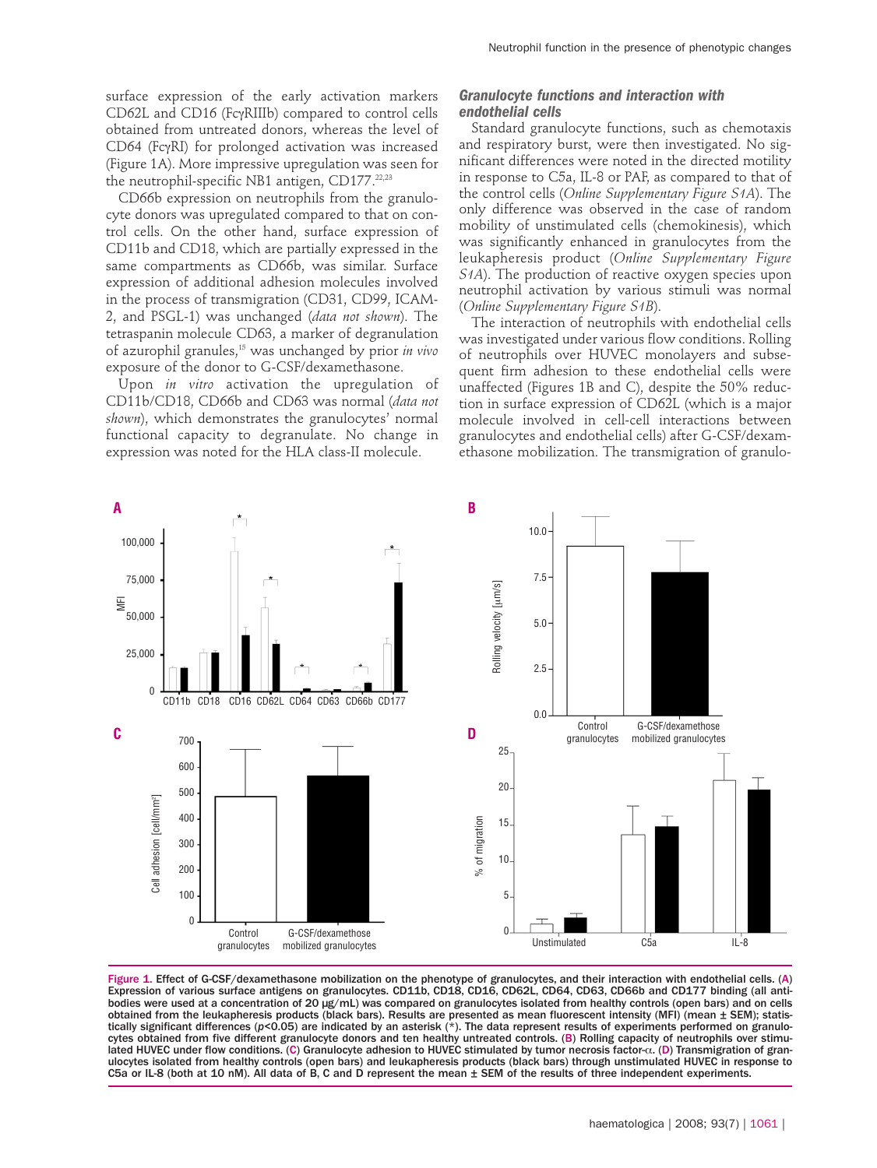surface expression of the early activation markers CD62L and CD16 (FcγRIIIb) compared to control cells obtained from untreated donors, whereas the level of CD64 (FcγRI) for prolonged activation was increased (Figure 1A). More impressive upregulation was seen for the neutrophil-specific NB1 antigen, CD177.22,23

CD66b expression on neutrophils from the granulocyte donors was upregulated compared to that on control cells. On the other hand, surface expression of CD11b and CD18, which are partially expressed in the same compartments as CD66b, was similar. Surface expression of additional adhesion molecules involved in the process of transmigration (CD31, CD99, ICAM-2, and PSGL-1) was unchanged (*data not shown*). The tetraspanin molecule CD63, a marker of degranulation of azurophil granules,15 was unchanged by prior *in vivo* exposure of the donor to G-CSF/dexamethasone.

Upon *in vitro* activation the upregulation of CD11b/CD18, CD66b and CD63 was normal (*data not shown*), which demonstrates the granulocytes' normal functional capacity to degranulate. No change in expression was noted for the HLA class-II molecule.

# *Granulocyte functions and interaction with endothelial cells*

Standard granulocyte functions, such as chemotaxis and respiratory burst, were then investigated. No significant differences were noted in the directed motility in response to C5a, IL-8 or PAF, as compared to that of the control cells (*Online Supplementary Figure S1A*). The only difference was observed in the case of random mobility of unstimulated cells (chemokinesis), which was significantly enhanced in granulocytes from the leukapheresis product (*Online Supplementary Figure S1A*). The production of reactive oxygen species upon neutrophil activation by various stimuli was normal (*Online Supplementary Figure S1B*).

The interaction of neutrophils with endothelial cells was investigated under various flow conditions. Rolling of neutrophils over HUVEC monolayers and subsequent firm adhesion to these endothelial cells were unaffected (Figures 1B and C), despite the 50% reduction in surface expression of CD62L (which is a major molecule involved in cell-cell interactions between granulocytes and endothelial cells) after G-CSF/dexamethasone mobilization. The transmigration of granulo-



Figure 1. Effect of G-CSF/dexamethasone mobilization on the phenotype of granulocytes, and their interaction with endothelial cells. (A) Expression of various surface antigens on granulocytes. CD11b, CD18, CD16, CD62L, CD64, CD63, CD66b and CD177 binding (all antibodies were used at a concentration of 20 µg/mL) was compared on granulocytes isolated from healthy controls (open bars) and on cells obtained from the leukapheresis products (black bars). Results are presented as mean fluorescent intensity (MFI) (mean ± SEM); statistically significant differences (*p*<0.05) are indicated by an asterisk (\*). The data represent results of experiments performed on granulocytes obtained from five different granulocyte donors and ten healthy untreated controls. (B) Rolling capacity of neutrophils over stimulated HUVEC under flow conditions. (C) Granulocyte adhesion to HUVEC stimulated by tumor necrosis factor-α. (D) Transmigration of granulocytes isolated from healthy controls (open bars) and leukapheresis products (black bars) through unstimulated HUVEC in response to C5a or IL-8 (both at 10 nM). All data of B, C and D represent the mean ± SEM of the results of three independent experiments.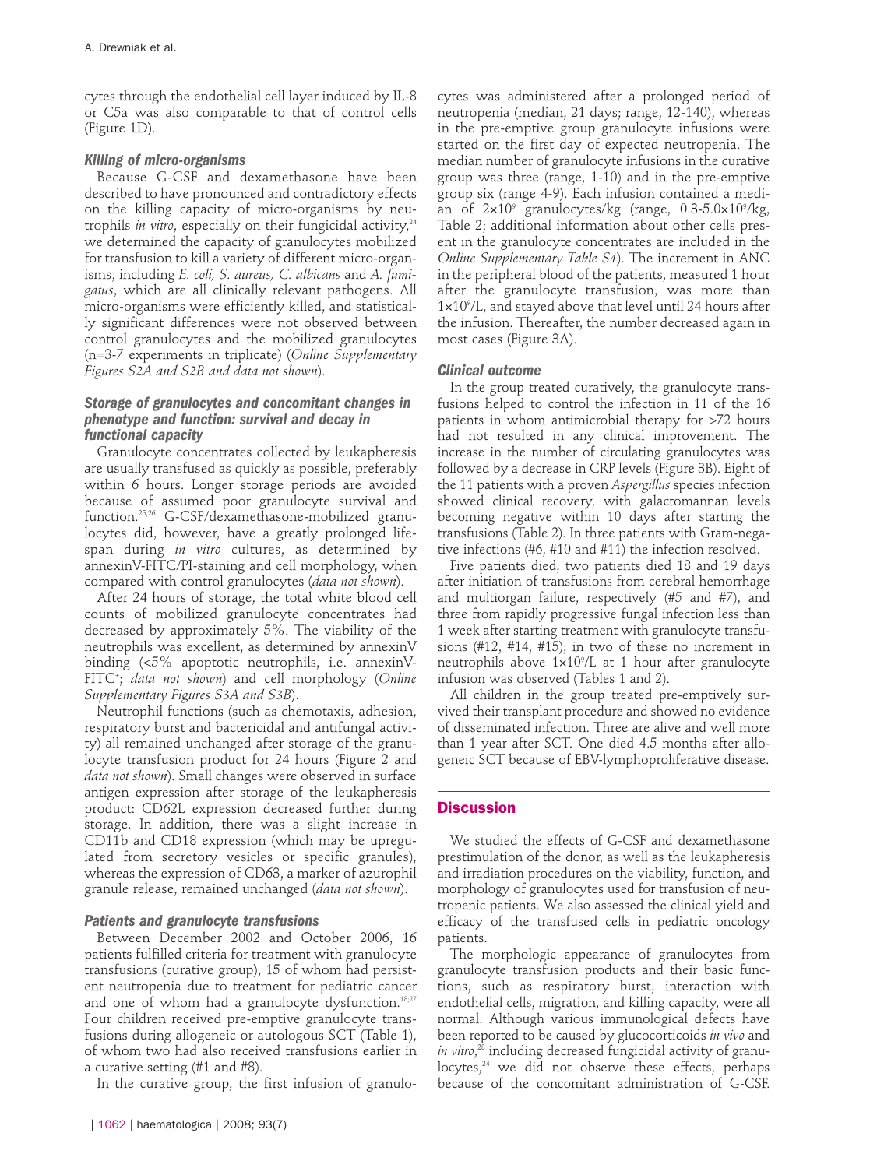cytes through the endothelial cell layer induced by IL-8 or C5a was also comparable to that of control cells (Figure 1D).

# *Killing of micro-organisms*

Because G-CSF and dexamethasone have been described to have pronounced and contradictory effects on the killing capacity of micro-organisms by neutrophils *in vitro*, especially on their fungicidal activity,<sup>24</sup> we determined the capacity of granulocytes mobilized for transfusion to kill a variety of different micro-organisms, including *E. coli, S. aureus, C. albicans* and *A. fumigatus*, which are all clinically relevant pathogens. All micro-organisms were efficiently killed, and statistically significant differences were not observed between control granulocytes and the mobilized granulocytes (n=3-7 experiments in triplicate) (*Online Supplementary Figures S2A and S2B and data not shown*).

# *Storage of granulocytes and concomitant changes in phenotype and function: survival and decay in functional capacity*

Granulocyte concentrates collected by leukapheresis are usually transfused as quickly as possible, preferably within 6 hours. Longer storage periods are avoided because of assumed poor granulocyte survival and function.25,26 G-CSF/dexamethasone-mobilized granulocytes did, however, have a greatly prolonged lifespan during *in vitro* cultures, as determined by annexinV-FITC/PI-staining and cell morphology, when compared with control granulocytes (*data not shown*).

After 24 hours of storage, the total white blood cell counts of mobilized granulocyte concentrates had decreased by approximately 5%. The viability of the neutrophils was excellent, as determined by annexinV binding (<5% apoptotic neutrophils, i.e. annexinV-FITC+ ; *data not shown*) and cell morphology (*Online Supplementary Figures S3A and S3B*).

Neutrophil functions (such as chemotaxis, adhesion, respiratory burst and bactericidal and antifungal activity) all remained unchanged after storage of the granulocyte transfusion product for 24 hours (Figure 2 and *data not shown*). Small changes were observed in surface antigen expression after storage of the leukapheresis product: CD62L expression decreased further during storage. In addition, there was a slight increase in CD11b and CD18 expression (which may be upregulated from secretory vesicles or specific granules), whereas the expression of CD63, a marker of azurophil granule release, remained unchanged (*data not shown*).

#### *Patients and granulocyte transfusions*

Between December 2002 and October 2006, 16 patients fulfilled criteria for treatment with granulocyte transfusions (curative group), 15 of whom had persistent neutropenia due to treatment for pediatric cancer and one of whom had a granulocyte dysfunction.<sup>18;27</sup> Four children received pre-emptive granulocyte transfusions during allogeneic or autologous SCT (Table 1), of whom two had also received transfusions earlier in a curative setting (#1 and #8).

In the curative group, the first infusion of granulo-

cytes was administered after a prolonged period of neutropenia (median, 21 days; range, 12-140), whereas in the pre-emptive group granulocyte infusions were started on the first day of expected neutropenia. The median number of granulocyte infusions in the curative group was three (range, 1-10) and in the pre-emptive group six (range 4-9). Each infusion contained a median of 2×10° granulocytes/kg (range, 0.3-5.0×10°/kg, Table 2; additional information about other cells present in the granulocyte concentrates are included in the *Online Supplementary Table S1*). The increment in ANC in the peripheral blood of the patients, measured 1 hour after the granulocyte transfusion, was more than 1×109 /L, and stayed above that level until 24 hours after the infusion. Thereafter, the number decreased again in most cases (Figure 3A).

#### *Clinical outcome*

In the group treated curatively, the granulocyte transfusions helped to control the infection in 11 of the 16 patients in whom antimicrobial therapy for >72 hours had not resulted in any clinical improvement. The increase in the number of circulating granulocytes was followed by a decrease in CRP levels (Figure 3B). Eight of the 11 patients with a proven *Aspergillus* species infection showed clinical recovery, with galactomannan levels becoming negative within 10 days after starting the transfusions (Table 2). In three patients with Gram-negative infections (#6, #10 and #11) the infection resolved.

Five patients died; two patients died 18 and 19 days after initiation of transfusions from cerebral hemorrhage and multiorgan failure, respectively (#5 and #7), and three from rapidly progressive fungal infection less than 1 week after starting treatment with granulocyte transfusions (#12, #14, #15); in two of these no increment in neutrophils above 1×109 /L at 1 hour after granulocyte infusion was observed (Tables 1 and 2).

All children in the group treated pre-emptively survived their transplant procedure and showed no evidence of disseminated infection. Three are alive and well more than 1 year after SCT. One died 4.5 months after allogeneic SCT because of EBV-lymphoproliferative disease.

# **Discussion**

We studied the effects of G-CSF and dexamethasone prestimulation of the donor, as well as the leukapheresis and irradiation procedures on the viability, function, and morphology of granulocytes used for transfusion of neutropenic patients. We also assessed the clinical yield and efficacy of the transfused cells in pediatric oncology patients.

The morphologic appearance of granulocytes from granulocyte transfusion products and their basic functions, such as respiratory burst, interaction with endothelial cells, migration, and killing capacity, were all normal. Although various immunological defects have been reported to be caused by glucocorticoids *in vivo* and *in vitro*, <sup>28</sup> including decreased fungicidal activity of granu $locytes<sub>1</sub><sup>24</sup>$  we did not observe these effects, perhaps because of the concomitant administration of G-CSF.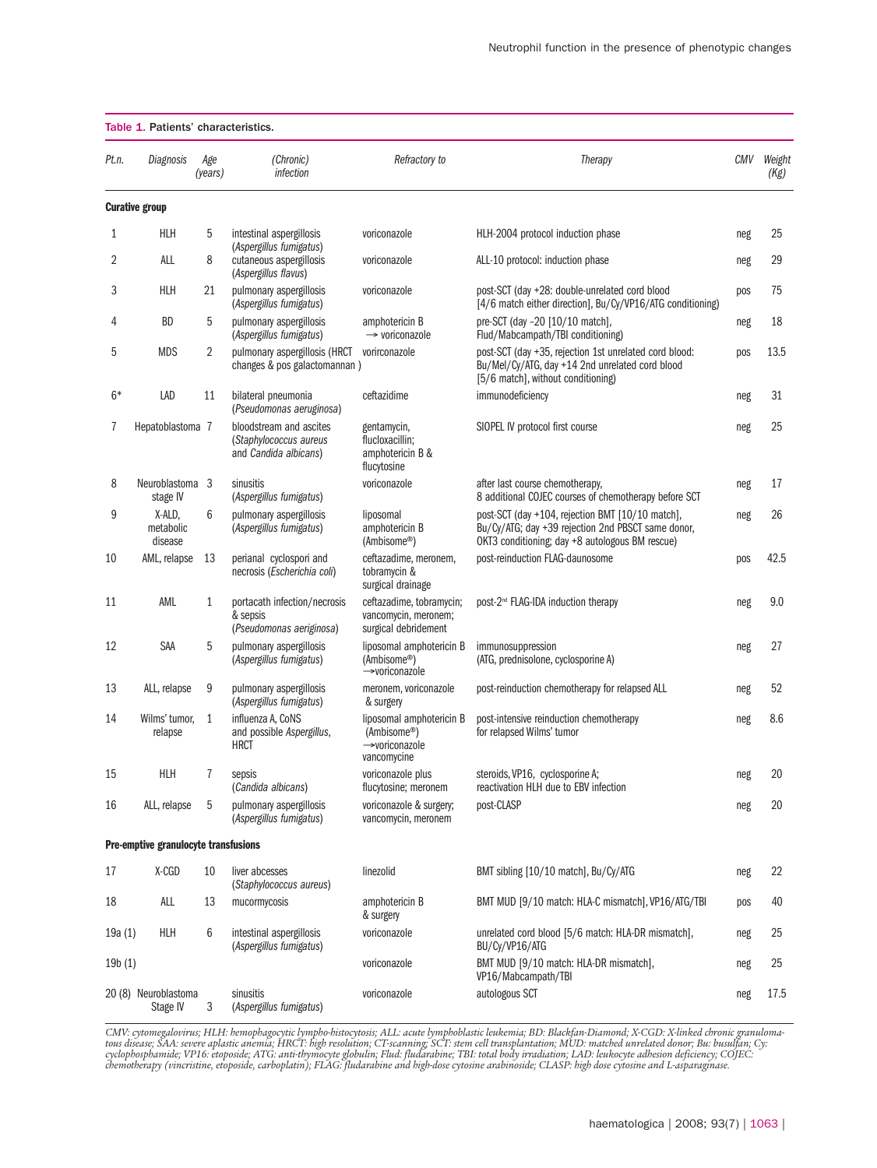| Table 1. Patients' characteristics. |                                      |                |                                                                            |                                                                          |                                                                                                                                                           |     |                |  |  |  |
|-------------------------------------|--------------------------------------|----------------|----------------------------------------------------------------------------|--------------------------------------------------------------------------|-----------------------------------------------------------------------------------------------------------------------------------------------------------|-----|----------------|--|--|--|
| Pt.n.                               | Diagnosis                            | Age<br>(years) | (Chronic)<br><i>infection</i>                                              | Refractory to                                                            | Therapy                                                                                                                                                   | CMV | Weight<br>(Kg) |  |  |  |
|                                     | <b>Curative group</b>                |                |                                                                            |                                                                          |                                                                                                                                                           |     |                |  |  |  |
| 1                                   | HLH                                  | 5              | intestinal aspergillosis                                                   | voriconazole                                                             | HLH-2004 protocol induction phase                                                                                                                         | neg | 25             |  |  |  |
| 2                                   | ALL                                  | 8              | (Aspergillus fumigatus)<br>cutaneous aspergillosis<br>(Aspergillus flavus) | voriconazole                                                             | ALL-10 protocol: induction phase                                                                                                                          | neg | 29             |  |  |  |
| 3                                   | HLH                                  | 21             | pulmonary aspergillosis<br>(Aspergillus fumigatus)                         | voriconazole                                                             | post-SCT (day +28: double-unrelated cord blood<br>[4/6 match either direction], Bu/Cy/VP16/ATG conditioning)                                              | pos | 75             |  |  |  |
| 4                                   | <b>BD</b>                            | 5              | pulmonary aspergillosis<br>(Aspergillus fumigatus)                         | amphotericin B<br>$\rightarrow$ voriconazole                             | pre-SCT (day -20 [10/10 match],<br>Flud/Mabcampath/TBI conditioning)                                                                                      | neg | 18             |  |  |  |
| 5                                   | <b>MDS</b>                           | 2              | pulmonary aspergillosis (HRCT<br>changes & pos galactomannan)              | vorirconazole                                                            | post-SCT (day +35, rejection 1st unrelated cord blood:<br>Bu/Mel/Cy/ATG, day +14 2nd unrelated cord blood<br>[5/6 match], without conditioning)           | pos | 13.5           |  |  |  |
| $6*$                                | LAD                                  | 11             | bilateral pneumonia<br>(Pseudomonas aeruginosa)                            | ceftazidime                                                              | immunodeficiency                                                                                                                                          | neg | 31             |  |  |  |
| 7                                   | Hepatoblastoma 7                     |                | bloodstream and ascites<br>(Staphylococcus aureus<br>and Candida albicans) | gentamycin,<br>flucloxacillin;<br>amphotericin B &<br>flucytosine        | SIOPEL IV protocol first course                                                                                                                           | neg | 25             |  |  |  |
| 8                                   | Neuroblastoma 3<br>stage IV          |                | sinusitis<br>(Aspergillus fumigatus)                                       | voriconazole                                                             | after last course chemotherapy,<br>8 additional COJEC courses of chemotherapy before SCT                                                                  | neg | 17             |  |  |  |
| 9                                   | X-ALD,<br>metabolic<br>disease       | 6              | pulmonary aspergillosis<br>(Aspergillus fumigatus)                         | liposomal<br>amphotericin B<br>(Ambisome®)                               | post-SCT (day +104, rejection BMT [10/10 match],<br>Bu/Cy/ATG; day +39 rejection 2nd PBSCT same donor,<br>OKT3 conditioning; day +8 autologous BM rescue) | neg | 26             |  |  |  |
| 10                                  | AML, relapse                         | 13             | perianal cyclospori and<br>necrosis (Escherichia coli)                     | ceftazadime, meronem,<br>tobramycin &<br>surgical drainage               | post-reinduction FLAG-daunosome                                                                                                                           | pos | 42.5           |  |  |  |
| 11                                  | AML                                  | 1              | portacath infection/necrosis<br>& sepsis<br>(Pseudomonas aeriginosa)       | ceftazadime, tobramycin;<br>vancomycin, meronem;<br>surgical debridement | post-2 <sup>nd</sup> FLAG-IDA induction therapy                                                                                                           | neg | 9.0            |  |  |  |
| 12                                  | SAA                                  | 5              | pulmonary aspergillosis<br>(Aspergillus fumigatus)                         | liposomal amphotericin B<br>(Ambisome®)<br>→voriconazole                 | immunosuppression<br>(ATG, prednisolone, cyclosporine A)                                                                                                  | neg | 27             |  |  |  |
| 13                                  | ALL, relapse                         | 9              | pulmonary aspergillosis<br>(Aspergillus fumigatus)                         | meronem, voriconazole<br>& surgery                                       | post-reinduction chemotherapy for relapsed ALL                                                                                                            | neg | 52             |  |  |  |
| 14                                  | Wilms' tumor,<br>relapse             | $\mathbf{1}$   | influenza A, CoNS<br>and possible Aspergillus,<br><b>HRCT</b>              | liposomal amphotericin B<br>(Ambisome®)<br>→voriconazole<br>vancomycine  | post-intensive reinduction chemotherapy<br>for relapsed Wilms' tumor                                                                                      | neg | 8.6            |  |  |  |
| 15                                  | <b>HLH</b>                           | $\overline{7}$ | sepsis<br>(Candida albicans)                                               | voriconazole plus<br>flucytosine; meronem                                | steroids, VP16, cyclosporine A;<br>reactivation HLH due to EBV infection                                                                                  | neg | 20             |  |  |  |
| 16                                  | ALL, relapse                         | 5              | pulmonary aspergillosis<br>(Aspergillus fumigatus)                         | voriconazole & surgery;<br>vancomycin, meronem                           | post-CLASP                                                                                                                                                | neg | 20             |  |  |  |
|                                     | Pre-emptive granulocyte transfusions |                |                                                                            |                                                                          |                                                                                                                                                           |     |                |  |  |  |
| 17                                  | X-CGD                                | 10             | liver abcesses<br>(Staphylococcus aureus)                                  | linezolid                                                                | BMT sibling [10/10 match], Bu/Cy/ATG                                                                                                                      | neg | 22             |  |  |  |
| 18                                  | ALL                                  | 13             | mucormycosis                                                               | amphotericin B<br>& surgery                                              | BMT MUD [9/10 match: HLA-C mismatch], VP16/ATG/TBI                                                                                                        | pos | 40             |  |  |  |
| 19a(1)                              | HLH                                  | 6              | intestinal aspergillosis<br>(Aspergillus fumigatus)                        | voriconazole                                                             | unrelated cord blood [5/6 match: HLA-DR mismatch],<br>BU/Cy/VP16/ATG                                                                                      | neg | 25             |  |  |  |
| 19b(1)                              |                                      |                |                                                                            | voriconazole                                                             | BMT MUD [9/10 match: HLA-DR mismatch],<br>VP16/Mabcampath/TBI                                                                                             | neg | 25             |  |  |  |
|                                     | 20 (8) Neuroblastoma<br>Stage IV     | 3              | sinusitis<br>(Aspergillus fumigatus)                                       | voriconazole                                                             | autologous SCT                                                                                                                                            | neg | 17.5           |  |  |  |

CMV: cytomegalovirus; HLH: hemophagocytic lympho-histocytosis; ALL: acute lymphoblastic leukemia; BD: Blackfan-Diamond; X-CGD: X-linked chronic granuloma-<br>tous disease; SAA: severe aplastic anemia; HRCT: high resolution; C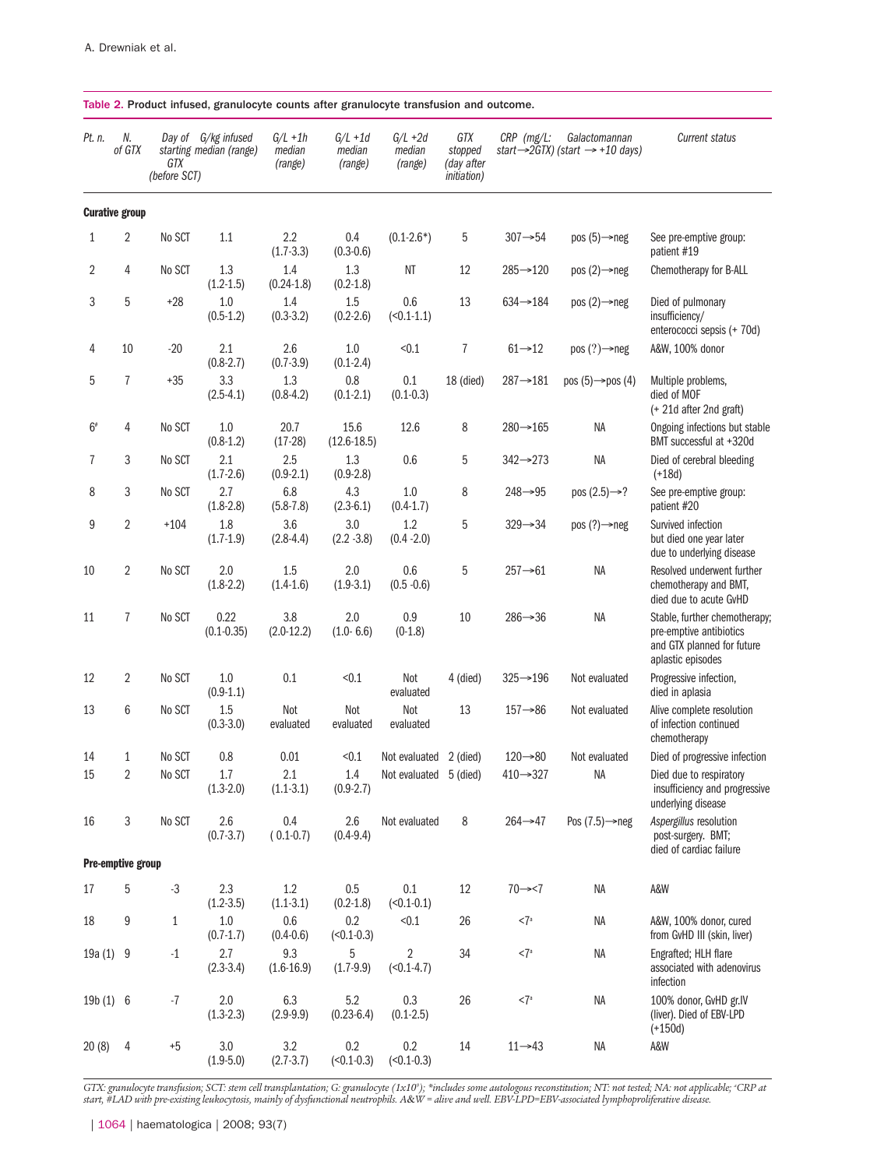| Table 2. Product infused, granulocyte counts after granulocyte transfusion and outcome. |                       |                     |                                                |                                 |                                 |                                 |                                                     |                       |                                                                           |                                                                                                             |  |
|-----------------------------------------------------------------------------------------|-----------------------|---------------------|------------------------------------------------|---------------------------------|---------------------------------|---------------------------------|-----------------------------------------------------|-----------------------|---------------------------------------------------------------------------|-------------------------------------------------------------------------------------------------------------|--|
| Pt. n.                                                                                  | N.<br>of GTX          | GTX<br>(before SCT) | Day of G/kg infused<br>starting median (range) | $G/L + 1h$<br>median<br>(range) | $G/L + 1d$<br>median<br>(range) | $G/L + 2d$<br>median<br>(range) | GTX<br>stopped<br>(day after<br><i>initiation</i> ) | $CRP$ ( $mg/L$ :      | Galactomannan<br>start $\rightarrow$ 2GTX) (start $\rightarrow$ +10 days) | <b>Current status</b>                                                                                       |  |
|                                                                                         | <b>Curative group</b> |                     |                                                |                                 |                                 |                                 |                                                     |                       |                                                                           |                                                                                                             |  |
| 1                                                                                       | 2                     | No SCT              | 1.1                                            | 2.2<br>$(1.7-3.3)$              | 0.4<br>$(0.3 - 0.6)$            | $(0.1 - 2.6^*)$                 | 5                                                   | $307 \rightarrow 54$  | pos $(5) \rightarrow$ neg                                                 | See pre-emptive group:<br>patient #19                                                                       |  |
| 2                                                                                       | 4                     | No SCT              | 1.3<br>$(1.2 - 1.5)$                           | 1.4<br>$(0.24 - 1.8)$           | 1.3<br>$(0.2 - 1.8)$            | ΝT                              | 12                                                  | $285 \rightarrow 120$ | pos $(2) \rightarrow$ neg                                                 | Chemotherapy for B-ALL                                                                                      |  |
| 3                                                                                       | 5                     | $+28$               | 1.0<br>$(0.5-1.2)$                             | 1.4<br>$(0.3 - 3.2)$            | 1.5<br>$(0.2 - 2.6)$            | 0.6<br>$(50.1 - 1.1)$           | 13                                                  | $634 - 184$           | pos $(2) \rightarrow$ neg                                                 | Died of pulmonary<br>insufficiency/<br>enterococci sepsis (+ 70d)                                           |  |
| 4                                                                                       | 10                    | $-20$               | 2.1<br>$(0.8 - 2.7)$                           | 2.6<br>$(0.7 - 3.9)$            | 1.0<br>$(0.1 - 2.4)$            | < 0.1                           | 7                                                   | $61 \rightarrow 12$   | pos $(?) \rightarrow$ neg                                                 | A&W, 100% donor                                                                                             |  |
| 5                                                                                       | $\overline{7}$        | $+35$               | 3.3<br>$(2.5-4.1)$                             | 1.3<br>$(0.8-4.2)$              | 0.8<br>$(0.1 - 2.1)$            | 0.1<br>$(0.1 - 0.3)$            | 18 (died)                                           | $287 \rightarrow 181$ | pos $(5) \rightarrow$ pos $(4)$                                           | Multiple problems,<br>died of MOF<br>(+ 21d after 2nd graft)                                                |  |
| $6*$                                                                                    | 4                     | No SCT              | 1.0<br>$(0.8-1.2)$                             | 20.7<br>$(17-28)$               | 15.6<br>$(12.6 - 18.5)$         | 12.6                            | 8                                                   | $280 \rightarrow 165$ | NA                                                                        | Ongoing infections but stable<br>BMT successful at +320d                                                    |  |
| $\overline{1}$                                                                          | 3                     | No SCT              | 2.1<br>$(1.7-2.6)$                             | 2.5<br>$(0.9-2.1)$              | 1.3<br>$(0.9 - 2.8)$            | 0.6                             | 5                                                   | $342 \rightarrow 273$ | NA                                                                        | Died of cerebral bleeding<br>$(+18d)$                                                                       |  |
| 8                                                                                       | 3                     | No SCT              | 2.7<br>$(1.8-2.8)$                             | 6.8<br>$(5.8 - 7.8)$            | 4.3<br>$(2.3-6.1)$              | 1.0<br>$(0.4-1.7)$              | 8                                                   | $248 \rightarrow 95$  | pos $(2.5) \rightarrow ?$                                                 | See pre-emptive group:<br>patient #20                                                                       |  |
| 9                                                                                       | 2                     | $+104$              | 1.8<br>$(1.7-1.9)$                             | 3.6<br>$(2.8-4.4)$              | 3.0<br>$(2.2 - 3.8)$            | 1.2<br>$(0.4 - 2.0)$            | 5                                                   | $329 \rightarrow 34$  | pos $(?) \rightarrow$ neg                                                 | Survived infection<br>but died one year later<br>due to underlying disease                                  |  |
| 10                                                                                      | 2                     | No SCT              | 2.0<br>$(1.8-2.2)$                             | 1.5<br>$(1.4-1.6)$              | 2.0<br>$(1.9-3.1)$              | 0.6<br>$(0.5 - 0.6)$            | 5                                                   | $257 \rightarrow 61$  | NA                                                                        | Resolved underwent further<br>chemotherapy and BMT,<br>died due to acute GvHD                               |  |
| 11                                                                                      | $\overline{7}$        | No SCT              | 0.22<br>$(0.1 - 0.35)$                         | 3.8<br>$(2.0-12.2)$             | 2.0<br>$(1.0 - 6.6)$            | 0.9<br>$(0-1.8)$                | 10                                                  | $286 \rightarrow 36$  | NA                                                                        | Stable, further chemotherapy;<br>pre-emptive antibiotics<br>and GTX planned for future<br>aplastic episodes |  |
| 12                                                                                      | 2                     | No SCT              | 1.0<br>$(0.9-1.1)$                             | 0.1                             | < 0.1                           | Not<br>evaluated                | 4 (died)                                            | $325 \rightarrow 196$ | Not evaluated                                                             | Progressive infection,<br>died in aplasia                                                                   |  |
| 13                                                                                      | 6                     | No SCT              | 1.5<br>$(0.3 - 3.0)$                           | Not<br>evaluated                | Not<br>evaluated                | Not<br>evaluated                | 13                                                  | $157 \rightarrow 86$  | Not evaluated                                                             | Alive complete resolution<br>of infection continued<br>chemotherapy                                         |  |
| 14                                                                                      | 1                     | No SCT              | 0.8                                            | $0.01\,$                        | < 0.1                           | Not evaluated 2 (died)          |                                                     | $120 \rightarrow 80$  | Not evaluated                                                             | Died of progressive infection                                                                               |  |
| 15                                                                                      | 2                     | No SCT              | 1.7<br>$(1.3-2.0)$                             | 2.1<br>$(1.1-3.1)$              | 1.4<br>$(0.9 - 2.7)$            | Not evaluated 5 (died)          |                                                     | $410 \rightarrow 327$ | NA                                                                        | Died due to respiratory<br>insufficiency and progressive<br>underlying disease                              |  |
| 16                                                                                      | 3                     | No SCT              | 2.6<br>$(0.7 - 3.7)$                           | 0.4<br>$(0.1 - 0.7)$            | 2.6<br>$(0.4 - 9.4)$            | Not evaluated                   | 8                                                   | $264 \rightarrow 47$  | Pos $(7.5) \rightarrow$ neg                                               | Aspergillus resolution<br>post-surgery. BMT;<br>died of cardiac failure                                     |  |
|                                                                                         | Pre-emptive group     |                     |                                                |                                 |                                 |                                 |                                                     |                       |                                                                           |                                                                                                             |  |
| 17                                                                                      | 5                     | $-3$                | 2.3<br>$(1.2 - 3.5)$                           | $1.2\,$<br>$(1.1-3.1)$          | 0.5<br>$(0.2 - 1.8)$            | $0.1\,$<br>$(50.1 - 0.1)$       | 12                                                  | $70 \rightarrow 7$    | NA                                                                        | A&W                                                                                                         |  |
| 18                                                                                      | 9                     | $\mathbf{1}$        | 1.0<br>$(0.7 - 1.7)$                           | 0.6<br>$(0.4 - 0.6)$            | 0.2<br>$(50.1 - 0.3)$           | < 0.1                           | 26                                                  | <7a                   | ΝA                                                                        | A&W, 100% donor, cured<br>from GvHD III (skin, liver)                                                       |  |
| 19a (1)                                                                                 | 9                     | $-1$                | 2.7<br>$(2.3-3.4)$                             | 9.3<br>$(1.6-16.9)$             | 5<br>$(1.7-9.9)$                | 2<br>$(50.1 - 4.7)$             | 34                                                  | <7a                   | NA                                                                        | Engrafted; HLH flare<br>associated with adenovirus<br>infection                                             |  |
| 19b(1) 6                                                                                |                       | $-7$                | 2.0<br>$(1.3-2.3)$                             | 6.3<br>$(2.9-9.9)$              | 5.2<br>$(0.23 - 6.4)$           | 0.3<br>$(0.1 - 2.5)$            | 26                                                  | <7a                   | ΝA                                                                        | 100% donor, GvHD gr.IV<br>(liver). Died of EBV-LPD<br>$(+150d)$                                             |  |
| 20(8)                                                                                   | 4                     | $+5$                | 3.0<br>$(1.9 - 5.0)$                           | 3.2<br>$(2.7 - 3.7)$            | 0.2<br>$(50.1 - 0.3)$           | 0.2<br>$(50.1 - 0.3)$           | 14                                                  | $11 \rightarrow 43$   | ΝA                                                                        | A&W                                                                                                         |  |

*GTX: granulocyte transfusion; SCT: stem cell transplantation; G: granulocyte (1x109 ); \*includes some autologous reconstitution; NT: not tested; NA: not applicable; a CRP at start, #LAD with pre-existing leukocytosis, mainly of dysfunctional neutrophils. A*&*W = alive and well. EBV-LPD=EBV-associated lymphoproliferative disease.*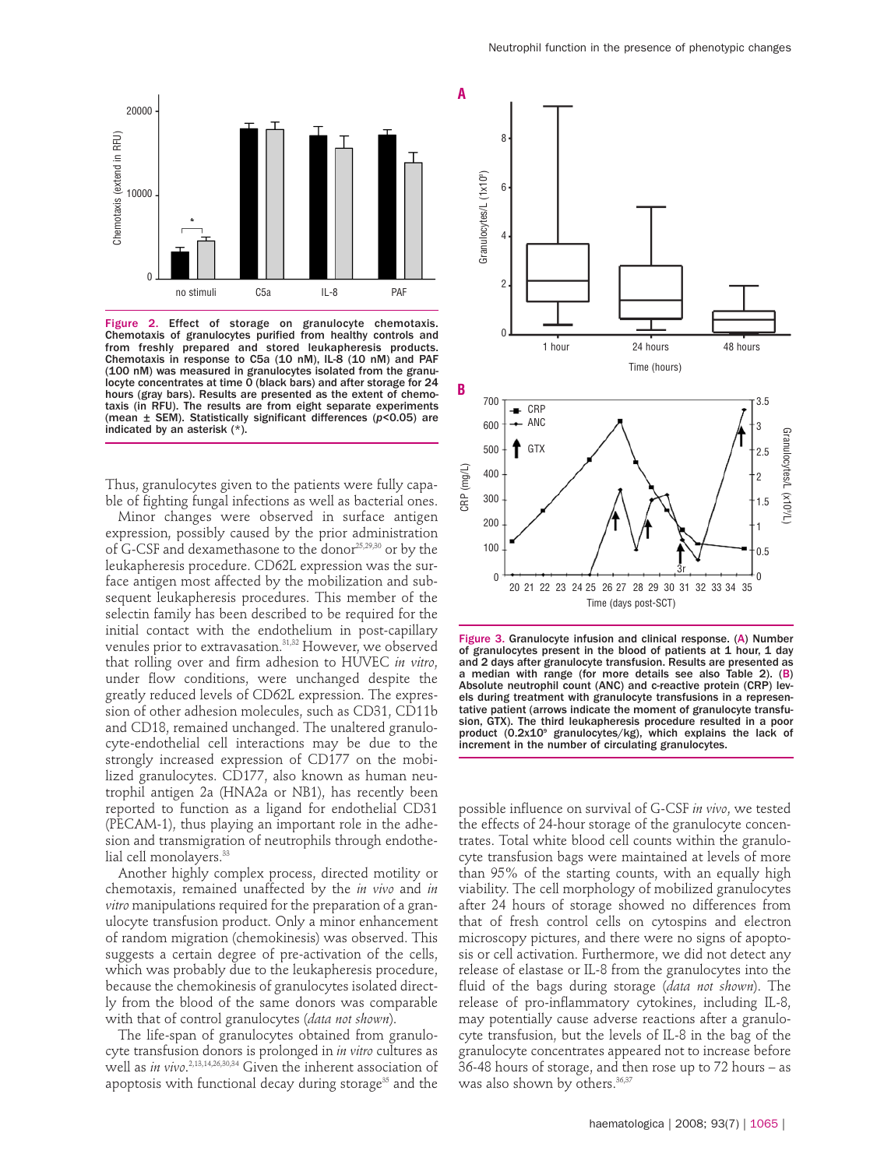

Figure 2. Effect of storage on granulocyte chemotaxis. Chemotaxis of granulocytes purified from healthy controls and from freshly prepared and stored leukapheresis products. Chemotaxis in response to C5a (10 nM), IL-8 (10 nM) and PAF (100 nM) was measured in granulocytes isolated from the granu-locyte concentrates at time 0 (black bars) and after storage for 24 hours (gray bars). Results are presented as the extent of chemotaxis (in RFU). The results are from eight separate experiments (mean ± SEM). Statistically significant differences (*p*<0.05) are indicated by an asterisk (\*).

Thus, granulocytes given to the patients were fully capable of fighting fungal infections as well as bacterial ones.

Minor changes were observed in surface antigen expression, possibly caused by the prior administration of G-CSF and dexamethasone to the donor<sup>25,29,30</sup> or by the leukapheresis procedure. CD62L expression was the surface antigen most affected by the mobilization and subsequent leukapheresis procedures. This member of the selectin family has been described to be required for the initial contact with the endothelium in post-capillary venules prior to extravasation.<sup>31,32</sup> However, we observed that rolling over and firm adhesion to HUVEC *in vitro*, under flow conditions, were unchanged despite the greatly reduced levels of CD62L expression. The expression of other adhesion molecules, such as CD31, CD11b and CD18, remained unchanged. The unaltered granulocyte-endothelial cell interactions may be due to the strongly increased expression of CD177 on the mobilized granulocytes. CD177, also known as human neutrophil antigen 2a (HNA2a or NB1), has recently been reported to function as a ligand for endothelial CD31 (PECAM-1), thus playing an important role in the adhesion and transmigration of neutrophils through endothelial cell monolayers.<sup>33</sup>

Another highly complex process, directed motility or chemotaxis, remained unaffected by the *in vivo* and *in vitro* manipulations required for the preparation of a granulocyte transfusion product. Only a minor enhancement of random migration (chemokinesis) was observed. This suggests a certain degree of pre-activation of the cells, which was probably due to the leukapheresis procedure, because the chemokinesis of granulocytes isolated directly from the blood of the same donors was comparable with that of control granulocytes (*data not shown*).

The life-span of granulocytes obtained from granulocyte transfusion donors is prolonged in *in vitro* cultures as well as *in vivo*. 2,13,14,26,30,34 Given the inherent association of apoptosis with functional decay during storage<sup>35</sup> and the



Figure 3. Granulocyte infusion and clinical response. (A) Number of granulocytes present in the blood of patients at 1 hour, 1 day and 2 days after granulocyte transfusion. Results are presented as a median with range (for more details see also Table 2). (B) Absolute neutrophil count (ANC) and c-reactive protein (CRP) levels during treatment with granulocyte transfusions in a representative patient (arrows indicate the moment of granulocyte transfusion, GTX). The third leukapheresis procedure resulted in a poor product (0.2x10° granulocytes/kg), which explains the lack of increment in the number of circulating granulocytes.

possible influence on survival of G-CSF *in vivo*, we tested the effects of 24-hour storage of the granulocyte concentrates. Total white blood cell counts within the granulocyte transfusion bags were maintained at levels of more than 95% of the starting counts, with an equally high viability. The cell morphology of mobilized granulocytes after 24 hours of storage showed no differences from that of fresh control cells on cytospins and electron microscopy pictures, and there were no signs of apoptosis or cell activation. Furthermore, we did not detect any release of elastase or IL-8 from the granulocytes into the fluid of the bags during storage (*data not shown*). The release of pro-inflammatory cytokines, including IL-8, may potentially cause adverse reactions after a granulocyte transfusion, but the levels of IL-8 in the bag of the granulocyte concentrates appeared not to increase before 36-48 hours of storage, and then rose up to 72 hours – as was also shown by others.<sup>36,37</sup>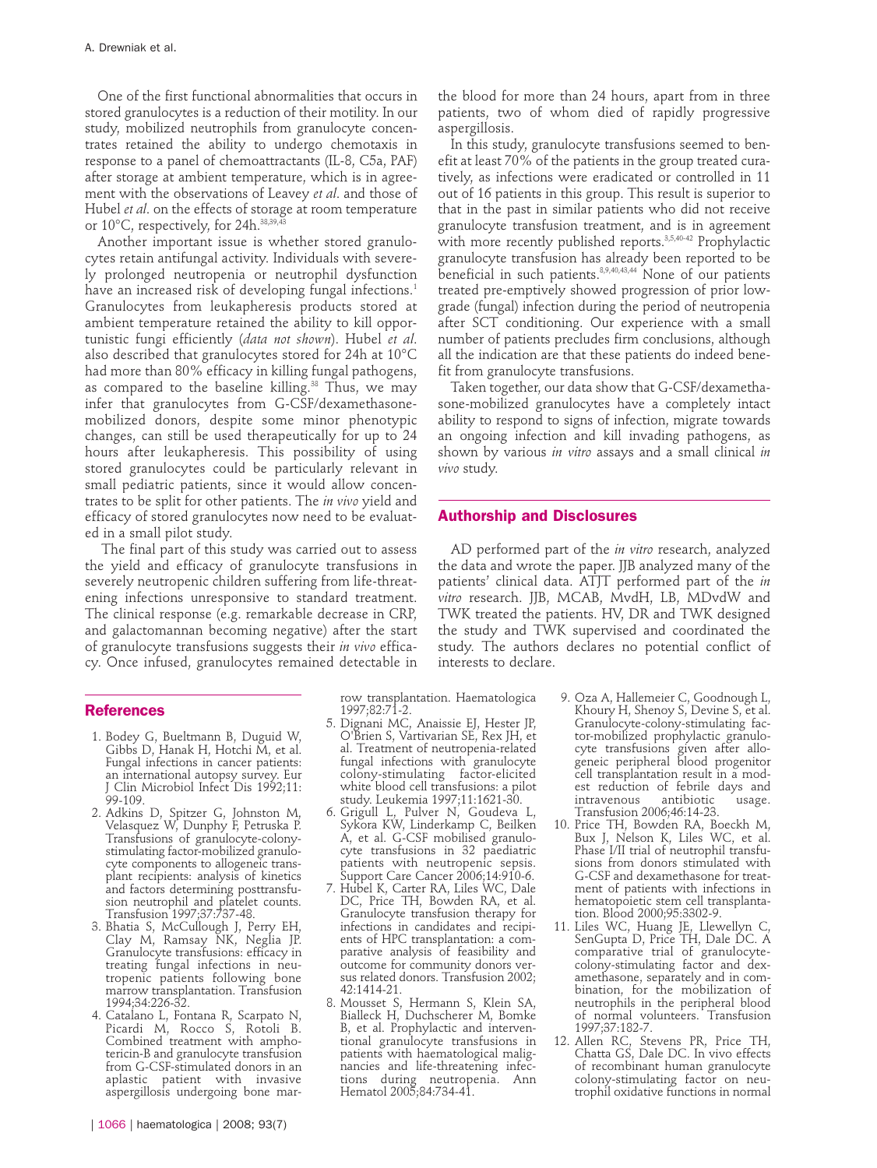One of the first functional abnormalities that occurs in stored granulocytes is a reduction of their motility. In our study, mobilized neutrophils from granulocyte concentrates retained the ability to undergo chemotaxis in response to a panel of chemoattractants (IL-8, C5a, PAF) after storage at ambient temperature, which is in agreement with the observations of Leavey *et al*. and those of Hubel *et al*. on the effects of storage at room temperature or 10°C, respectively, for 24h.<sup>38,39,43</sup>

Another important issue is whether stored granulocytes retain antifungal activity. Individuals with severely prolonged neutropenia or neutrophil dysfunction have an increased risk of developing fungal infections.<sup>1</sup> Granulocytes from leukapheresis products stored at ambient temperature retained the ability to kill opportunistic fungi efficiently (*data not shown*). Hubel *et al*. also described that granulocytes stored for 24h at 10°C had more than 80% efficacy in killing fungal pathogens, as compared to the baseline killing.<sup>38</sup> Thus, we may infer that granulocytes from G-CSF/dexamethasonemobilized donors, despite some minor phenotypic changes, can still be used therapeutically for up to 24 hours after leukapheresis. This possibility of using stored granulocytes could be particularly relevant in small pediatric patients, since it would allow concentrates to be split for other patients. The *in vivo* yield and efficacy of stored granulocytes now need to be evaluated in a small pilot study.

The final part of this study was carried out to assess the yield and efficacy of granulocyte transfusions in severely neutropenic children suffering from life-threatening infections unresponsive to standard treatment. The clinical response (e.g. remarkable decrease in CRP, and galactomannan becoming negative) after the start of granulocyte transfusions suggests their *in vivo* efficacy. Once infused, granulocytes remained detectable in

#### **References**

- 1. Bodey G, Bueltmann B, Duguid W, Gibbs D, Hanak H, Hotchi M, et al. Fungal infections in cancer patients: an international autopsy survey. Eur J Clin Microbiol Infect Dis 1992;11: 99-109.
- 2. Adkins D, Spitzer G, Johnston M, Velasquez W, Dunphy F, Petruska P. Transfusions of granulocyte-colonystimulating factor-mobilized granulocyte components to allogeneic transplant recipients: analysis of kinetics and factors determining posttransfusion neutrophil and platelet counts. Transfusion 1997;37:737-48.
- 3. Bhatia S, McCullough J, Perry EH, Clay M, Ramsay NK, Neglia JP. Granulocyte transfusions: efficacy in treating fungal infections in neutropenic patients following bone marrow transplantation. Transfusion 1994;34:226-32.
- 4. Catalano L, Fontana R, Scarpato N, Picardi M, Rocco S, Rotoli B. Combined treatment with amphotericin-B and granulocyte transfusion from G-CSF-stimulated donors in an aplastic patient with invasive aspergillosis undergoing bone mar-

the blood for more than 24 hours, apart from in three patients, two of whom died of rapidly progressive aspergillosis.

In this study, granulocyte transfusions seemed to benefit at least 70% of the patients in the group treated curatively, as infections were eradicated or controlled in 11 out of 16 patients in this group. This result is superior to that in the past in similar patients who did not receive granulocyte transfusion treatment, and is in agreement with more recently published reports.3,5,40-42 Prophylactic granulocyte transfusion has already been reported to be beneficial in such patients.<sup>8,9,40,43,44</sup> None of our patients treated pre-emptively showed progression of prior lowgrade (fungal) infection during the period of neutropenia after SCT conditioning. Our experience with a small number of patients precludes firm conclusions, although all the indication are that these patients do indeed benefit from granulocyte transfusions.

Taken together, our data show that G-CSF/dexamethasone-mobilized granulocytes have a completely intact ability to respond to signs of infection, migrate towards an ongoing infection and kill invading pathogens, as shown by various *in vitro* assays and a small clinical *in vivo* study.

#### **Authorship and Disclosures**

AD performed part of the *in vitro* research, analyzed the data and wrote the paper. JJB analyzed many of the patients' clinical data. ATJT performed part of the *in vitro* research. JJB, MCAB, MvdH, LB, MDvdW and TWK treated the patients. HV, DR and TWK designed the study and TWK supervised and coordinated the study. The authors declares no potential conflict of interests to declare.

row transplantation. Haematologica 1997;82:71-2.

- 5. Dignani MC, Anaissie EJ, Hester JP, O'Brien S, Vartivarian SE, Rex JH, et al. Treatment of neutropenia-related fungal infections with granulocyte colony-stimulating factor-elicited white blood cell transfusions: a pilot study. Leukemia 1997;11:1621-30.
- 6. Grigull L, Pulver N, Goudeva L, Sykora KW, Linderkamp C, Beilken A, et al. G-CSF mobilised granulocyte transfusions in 32 paediatric patients with neutropenic sepsis. Support Care Cancer 2006;14:910-6.
- 7. Hubel K, Carter RA, Liles WC, Dale DC, Price TH, Bowden RA, et al. Granulocyte transfusion therapy for infections in candidates and recipients of HPC transplantation: a comparative analysis of feasibility and outcome for community donors versus related donors. Transfusion 2002; 42:1414-21.
- 8. Mousset S, Hermann S, Klein SA, Bialleck H, Duchscherer M, Bomke B, et al. Prophylactic and interventional granulocyte transfusions in patients with haematological malignancies and life-threatening infections during neutropenia. Ann Hematol 2005;84:734-41.
- 9. Oza A, Hallemeier C, Goodnough L, Khoury H, Shenoy S, Devine S, et al. Granulocyte-colony-stimulating factor-mobilized prophylactic granulocyte transfusions given after allogeneic peripheral blood progenitor cell transplantation result in a modest reduction of febrile days and<br>intravenous antibiotic usage. intravenous antibiotic usage. Transfusion 2006;46:14-23.
- 10. Price TH, Bowden RA, Boeckh M, Bux J, Nelson K, Liles WC, et al. Phase I/II trial of neutrophil transfusions from donors stimulated with G-CSF and dexamethasone for treatment of patients with infections in hematopoietic stem cell transplantation. Blood 2000;95:3302-9.
- 11. Liles WC, Huang JE, Llewellyn C, SenGupta D, Price TH, Dale DC. A comparative trial of granulocytecolony-stimulating factor and dexamethasone, separately and in combination, for the mobilization of neutrophils in the peripheral blood of normal volunteers. Transfusion 1997;37:182-7.
- 12. Allen RC, Stevens PR, Price TH, Chatta GS, Dale DC. In vivo effects of recombinant human granulocyte colony-stimulating factor on neutrophil oxidative functions in normal